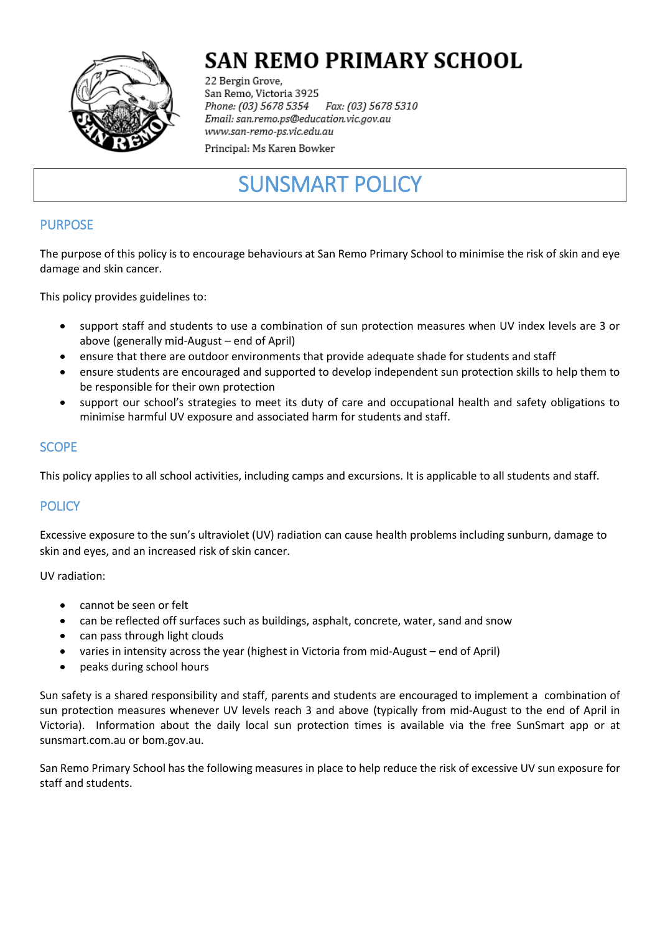

# **SAN REMO PRIMARY SCHOOL**

22 Bergin Grove, San Remo, Victoria 3925 Fax: (03) 5678 5310 Phone: (03) 5678 5354 Email: san.remo.ps@education.vic.gov.au www.san-remo-ps.vic.edu.au

Principal: Ms Karen Bowker

# SUNSMART POLICY

# PURPOSE

The purpose of this policy is to encourage behaviours at San Remo Primary School to minimise the risk of skin and eye damage and skin cancer.

This policy provides guidelines to:

- support staff and students to use a combination of sun protection measures when UV index levels are 3 or above (generally mid-August – end of April)
- ensure that there are outdoor environments that provide adequate shade for students and staff
- ensure students are encouraged and supported to develop independent sun protection skills to help them to be responsible for their own protection
- support our school's strategies to meet its duty of care and occupational health and safety obligations to minimise harmful UV exposure and associated harm for students and staff.

### **SCOPE**

This policy applies to all school activities, including camps and excursions. It is applicable to all students and staff.

# **POLICY**

Excessive exposure to the sun's ultraviolet (UV) radiation can cause health problems including sunburn, damage to skin and eyes, and an increased risk of skin cancer.

UV radiation:

- cannot be seen or felt
- can be reflected off surfaces such as buildings, asphalt, concrete, water, sand and snow
- can pass through light clouds
- varies in intensity across the year (highest in Victoria from mid-August end of April)
- peaks during school hours

Sun safety is a shared responsibility and staff, parents and students are encouraged to implement a combination of sun protection measures whenever UV levels reach 3 and above (typically from mid-August to the end of April in Victoria). Information about the daily local sun protection times is available via the free [SunSmart app](http://www.sunsmart.com.au/tools/interactive-tools/free-sunsmart-app) or at [sunsmart.com.au](http://www.sunsmart.com.au/) or bom.gov.au.

San Remo Primary School has the following measures in place to help reduce the risk of excessive UV sun exposure for staff and students.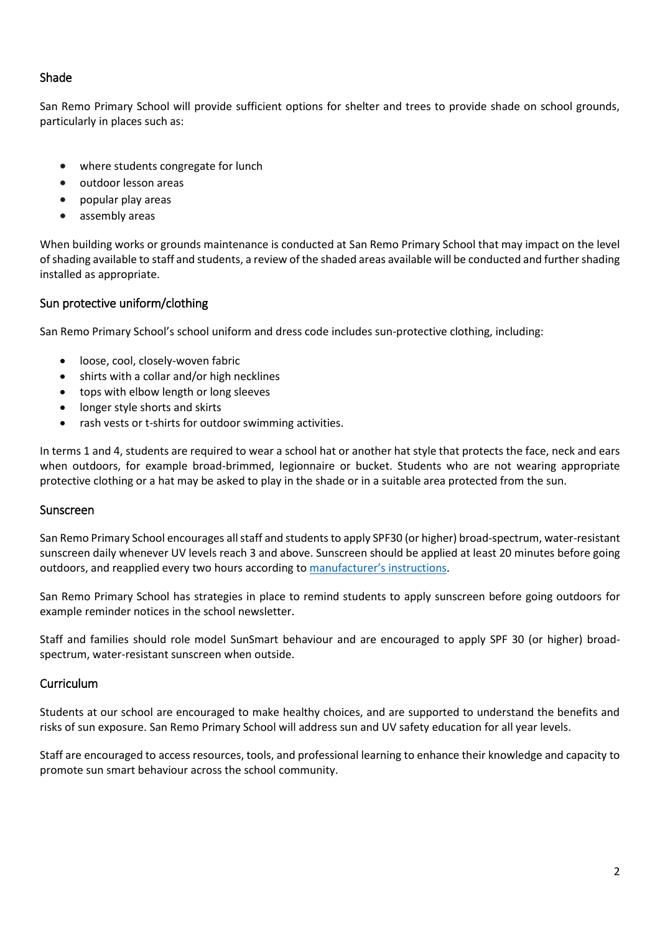### Shade

San Remo Primary School will provide sufficient options for shelter and trees to provide shade on school grounds, particularly in places such as:

- where students congregate for lunch
- outdoor lesson areas
- popular play areas
- assembly areas

When building works or grounds maintenance is conducted at San Remo Primary School that may impact on the level of shading available to staff and students, a review of the shaded areas available will be conducted and further shading installed as appropriate.

#### Sun protective uniform/clothing

San Remo Primary School's school uniform and dress code includes sun-protective clothing, including:

- loose, cool, closely-woven fabric
- shirts with a collar and/or high necklines
- tops with elbow length or long sleeves
- longer style shorts and skirts
- rash vests or t-shirts for outdoor swimming activities.

In terms 1 and 4, students are required to wear a school hat or another hat style that protects the face, neck and ears when outdoors, for example broad-brimmed, legionnaire or bucket. Students who are not wearing appropriate protective clothing or a hat may be asked to play in the shade or in a suitable area protected from the sun.

#### Sunscreen

San Remo Primary School encourages all staff and students to apply SPF30 (or higher) broad-spectrum, water-resistant sunscreen daily whenever UV levels reach 3 and above. Sunscreen should be applied at least 20 minutes before going outdoors, and reapplied every two hours according to [manufacturer'](https://www.tga.gov.au/book/4-labelling-and-advertising)s instructions.

San Remo Primary School has strategies in place to remind students to apply sunscreen before going outdoors for example reminder notices in the school newsletter.

Staff and families should role model SunSmart behaviour and are encouraged to apply SPF 30 (or higher) broadspectrum, water-resistant sunscreen when outside.

#### Curriculum

Students at our school are encouraged to make healthy choices, and are supported to understand the benefits and risks of sun exposure. San Remo Primary School will address sun and UV safety education for all year levels.

Staff are encouraged to access resources, tools, and professional learning to enhance their knowledge and capacity to promote sun smart behaviour across the school community.